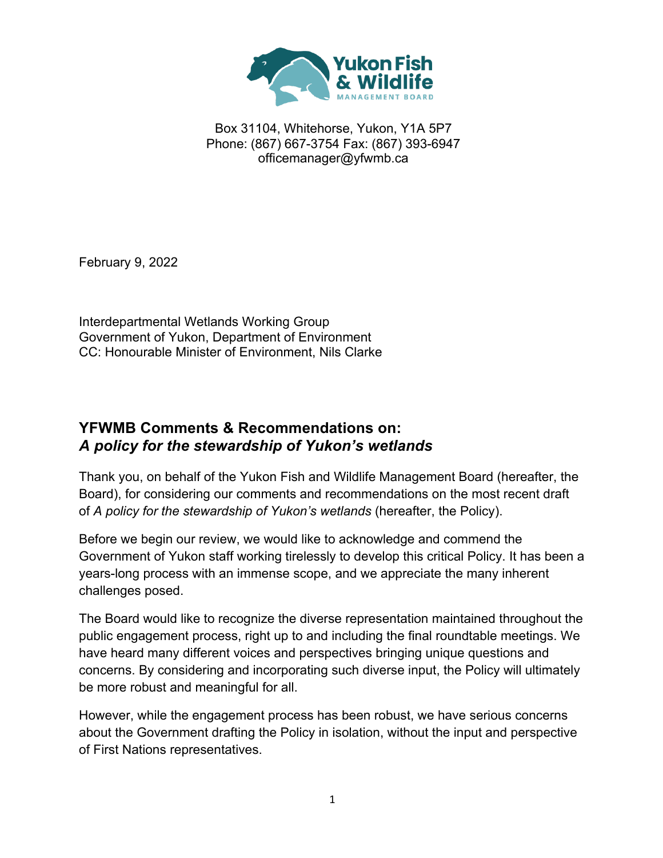

Box 31104, Whitehorse, Yukon, Y1A 5P7 Phone: (867) 667-3754 Fax: (867) 393-6947 officemanager@yfwmb.ca

February 9, 2022

Interdepartmental Wetlands Working Group Government of Yukon, Department of Environment CC: Honourable Minister of Environment, Nils Clarke

### **YFWMB Comments & Recommendations on:** *A policy for the stewardship of Yukon's wetlands*

Thank you, on behalf of the Yukon Fish and Wildlife Management Board (hereafter, the Board), for considering our comments and recommendations on the most recent draft of *A policy for the stewardship of Yukon's wetlands* (hereafter, the Policy).

Before we begin our review, we would like to acknowledge and commend the Government of Yukon staff working tirelessly to develop this critical Policy. It has been a years-long process with an immense scope, and we appreciate the many inherent challenges posed.

The Board would like to recognize the diverse representation maintained throughout the public engagement process, right up to and including the final roundtable meetings. We have heard many different voices and perspectives bringing unique questions and concerns. By considering and incorporating such diverse input, the Policy will ultimately be more robust and meaningful for all.

However, while the engagement process has been robust, we have serious concerns about the Government drafting the Policy in isolation, without the input and perspective of First Nations representatives.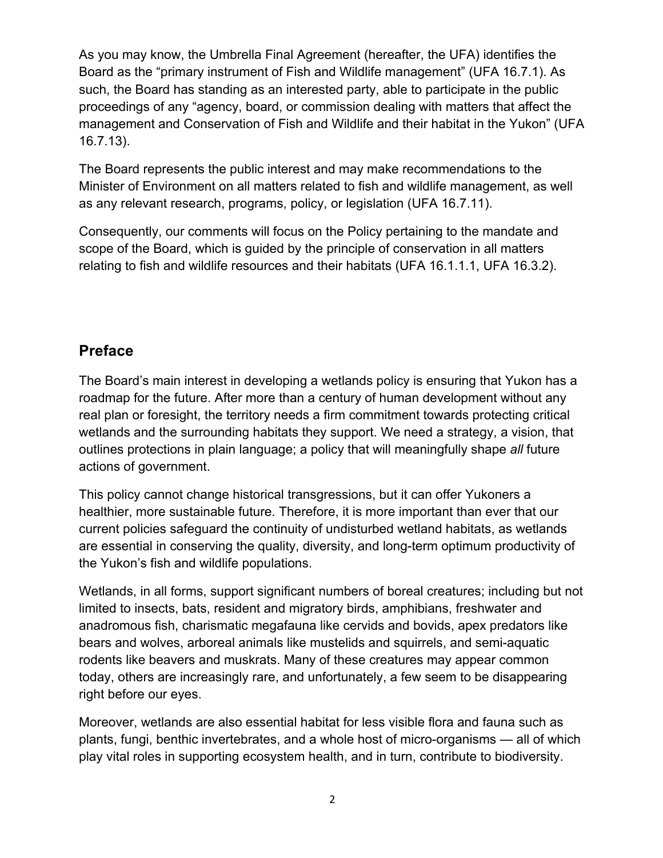As you may know, the Umbrella Final Agreement (hereafter, the UFA) identifies the Board as the "primary instrument of Fish and Wildlife management" (UFA 16.7.1). As such, the Board has standing as an interested party, able to participate in the public proceedings of any "agency, board, or commission dealing with matters that affect the management and Conservation of Fish and Wildlife and their habitat in the Yukon" (UFA 16.7.13).

The Board represents the public interest and may make recommendations to the Minister of Environment on all matters related to fish and wildlife management, as well as any relevant research, programs, policy, or legislation (UFA 16.7.11).

Consequently, our comments will focus on the Policy pertaining to the mandate and scope of the Board, which is guided by the principle of conservation in all matters relating to fish and wildlife resources and their habitats (UFA 16.1.1.1, UFA 16.3.2).

### **Preface**

The Board's main interest in developing a wetlands policy is ensuring that Yukon has a roadmap for the future. After more than a century of human development without any real plan or foresight, the territory needs a firm commitment towards protecting critical wetlands and the surrounding habitats they support. We need a strategy, a vision, that outlines protections in plain language; a policy that will meaningfully shape *all* future actions of government.

This policy cannot change historical transgressions, but it can offer Yukoners a healthier, more sustainable future. Therefore, it is more important than ever that our current policies safeguard the continuity of undisturbed wetland habitats, as wetlands are essential in conserving the quality, diversity, and long-term optimum productivity of the Yukon's fish and wildlife populations.

Wetlands, in all forms, support significant numbers of boreal creatures; including but not limited to insects, bats, resident and migratory birds, amphibians, freshwater and anadromous fish, charismatic megafauna like cervids and bovids, apex predators like bears and wolves, arboreal animals like mustelids and squirrels, and semi-aquatic rodents like beavers and muskrats. Many of these creatures may appear common today, others are increasingly rare, and unfortunately, a few seem to be disappearing right before our eyes.

Moreover, wetlands are also essential habitat for less visible flora and fauna such as plants, fungi, benthic invertebrates, and a whole host of micro-organisms — all of which play vital roles in supporting ecosystem health, and in turn, contribute to biodiversity.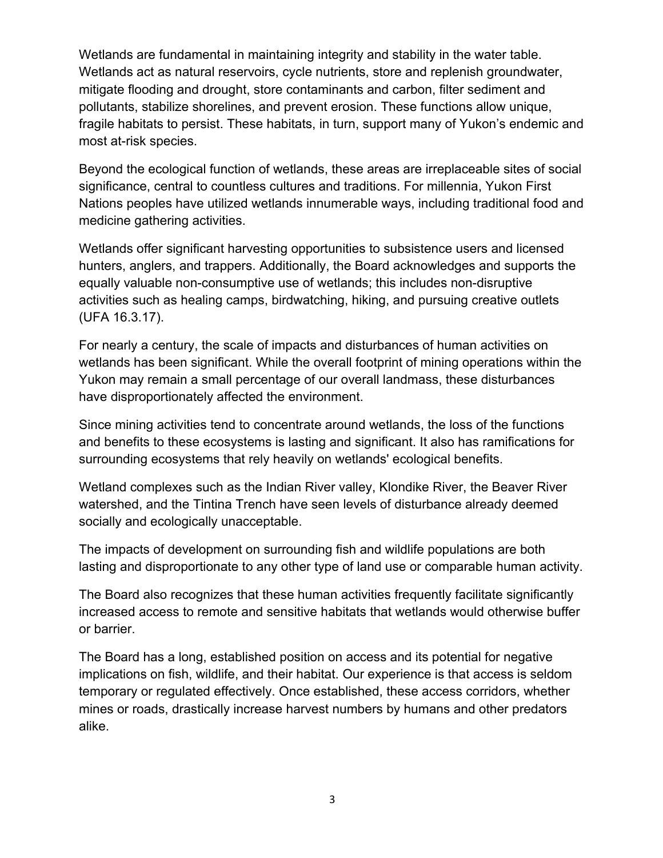Wetlands are fundamental in maintaining integrity and stability in the water table. Wetlands act as natural reservoirs, cycle nutrients, store and replenish groundwater, mitigate flooding and drought, store contaminants and carbon, filter sediment and pollutants, stabilize shorelines, and prevent erosion. These functions allow unique, fragile habitats to persist. These habitats, in turn, support many of Yukon's endemic and most at-risk species.

Beyond the ecological function of wetlands, these areas are irreplaceable sites of social significance, central to countless cultures and traditions. For millennia, Yukon First Nations peoples have utilized wetlands innumerable ways, including traditional food and medicine gathering activities.

Wetlands offer significant harvesting opportunities to subsistence users and licensed hunters, anglers, and trappers. Additionally, the Board acknowledges and supports the equally valuable non-consumptive use of wetlands; this includes non-disruptive activities such as healing camps, birdwatching, hiking, and pursuing creative outlets (UFA 16.3.17).

For nearly a century, the scale of impacts and disturbances of human activities on wetlands has been significant. While the overall footprint of mining operations within the Yukon may remain a small percentage of our overall landmass, these disturbances have disproportionately affected the environment.

Since mining activities tend to concentrate around wetlands, the loss of the functions and benefits to these ecosystems is lasting and significant. It also has ramifications for surrounding ecosystems that rely heavily on wetlands' ecological benefits.

Wetland complexes such as the Indian River valley, Klondike River, the Beaver River watershed, and the Tintina Trench have seen levels of disturbance already deemed socially and ecologically unacceptable.

The impacts of development on surrounding fish and wildlife populations are both lasting and disproportionate to any other type of land use or comparable human activity.

The Board also recognizes that these human activities frequently facilitate significantly increased access to remote and sensitive habitats that wetlands would otherwise buffer or barrier.

The Board has a long, established position on access and its potential for negative implications on fish, wildlife, and their habitat. Our experience is that access is seldom temporary or regulated effectively. Once established, these access corridors, whether mines or roads, drastically increase harvest numbers by humans and other predators alike.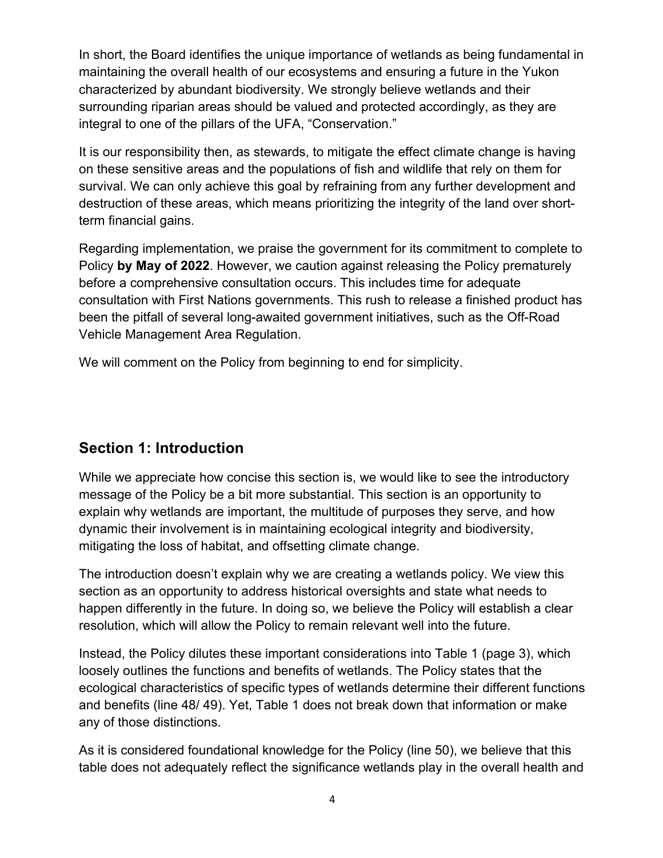In short, the Board identifies the unique importance of wetlands as being fundamental in maintaining the overall health of our ecosystems and ensuring a future in the Yukon characterized by abundant biodiversity. We strongly believe wetlands and their surrounding riparian areas should be valued and protected accordingly, as they are integral to one of the pillars of the UFA, "Conservation."

It is our responsibility then, as stewards, to mitigate the effect climate change is having on these sensitive areas and the populations of fish and wildlife that rely on them for survival. We can only achieve this goal by refraining from any further development and destruction of these areas, which means prioritizing the integrity of the land over shortterm financial gains.

Regarding implementation, we praise the government for its commitment to complete to Policy **by May of 2022**. However, we caution against releasing the Policy prematurely before a comprehensive consultation occurs. This includes time for adequate consultation with First Nations governments. This rush to release a finished product has been the pitfall of several long-awaited government initiatives, such as the Off-Road Vehicle Management Area Regulation.

We will comment on the Policy from beginning to end for simplicity.

## **Section 1: Introduction**

While we appreciate how concise this section is, we would like to see the introductory message of the Policy be a bit more substantial. This section is an opportunity to explain why wetlands are important, the multitude of purposes they serve, and how dynamic their involvement is in maintaining ecological integrity and biodiversity, mitigating the loss of habitat, and offsetting climate change.

The introduction doesn't explain why we are creating a wetlands policy. We view this section as an opportunity to address historical oversights and state what needs to happen differently in the future. In doing so, we believe the Policy will establish a clear resolution, which will allow the Policy to remain relevant well into the future.

Instead, the Policy dilutes these important considerations into Table 1 (page 3), which loosely outlines the functions and benefits of wetlands. The Policy states that the ecological characteristics of specific types of wetlands determine their different functions and benefits (line 48/ 49). Yet, Table 1 does not break down that information or make any of those distinctions.

As it is considered foundational knowledge for the Policy (line 50), we believe that this table does not adequately reflect the significance wetlands play in the overall health and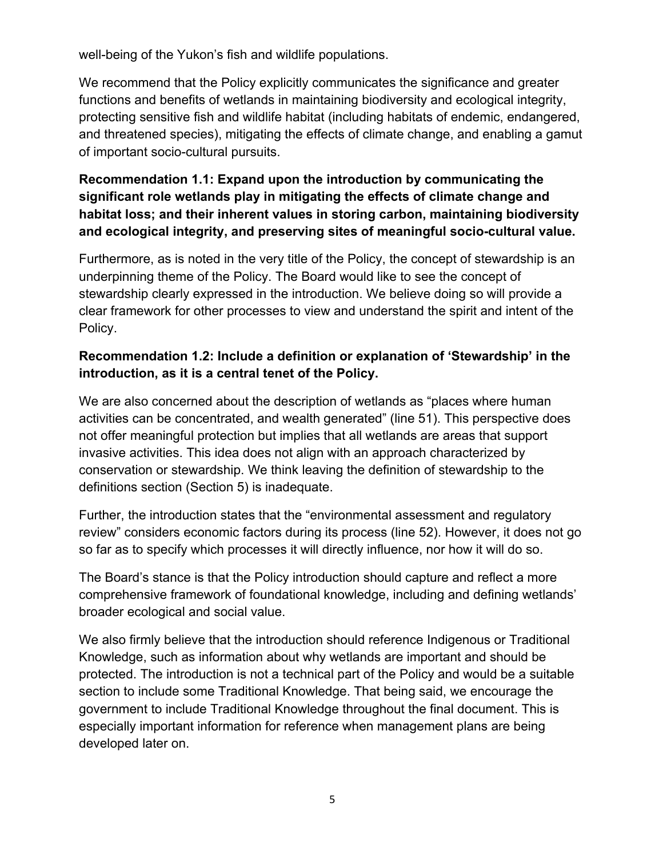well-being of the Yukon's fish and wildlife populations.

We recommend that the Policy explicitly communicates the significance and greater functions and benefits of wetlands in maintaining biodiversity and ecological integrity, protecting sensitive fish and wildlife habitat (including habitats of endemic, endangered, and threatened species), mitigating the effects of climate change, and enabling a gamut of important socio-cultural pursuits.

### **Recommendation 1.1: Expand upon the introduction by communicating the significant role wetlands play in mitigating the effects of climate change and habitat loss; and their inherent values in storing carbon, maintaining biodiversity and ecological integrity, and preserving sites of meaningful socio-cultural value.**

Furthermore, as is noted in the very title of the Policy, the concept of stewardship is an underpinning theme of the Policy. The Board would like to see the concept of stewardship clearly expressed in the introduction. We believe doing so will provide a clear framework for other processes to view and understand the spirit and intent of the Policy.

#### **Recommendation 1.2: Include a definition or explanation of 'Stewardship' in the introduction, as it is a central tenet of the Policy.**

We are also concerned about the description of wetlands as "places where human activities can be concentrated, and wealth generated" (line 51). This perspective does not offer meaningful protection but implies that all wetlands are areas that support invasive activities. This idea does not align with an approach characterized by conservation or stewardship. We think leaving the definition of stewardship to the definitions section (Section 5) is inadequate.

Further, the introduction states that the "environmental assessment and regulatory review" considers economic factors during its process (line 52). However, it does not go so far as to specify which processes it will directly influence, nor how it will do so.

The Board's stance is that the Policy introduction should capture and reflect a more comprehensive framework of foundational knowledge, including and defining wetlands' broader ecological and social value.

We also firmly believe that the introduction should reference Indigenous or Traditional Knowledge, such as information about why wetlands are important and should be protected. The introduction is not a technical part of the Policy and would be a suitable section to include some Traditional Knowledge. That being said, we encourage the government to include Traditional Knowledge throughout the final document. This is especially important information for reference when management plans are being developed later on.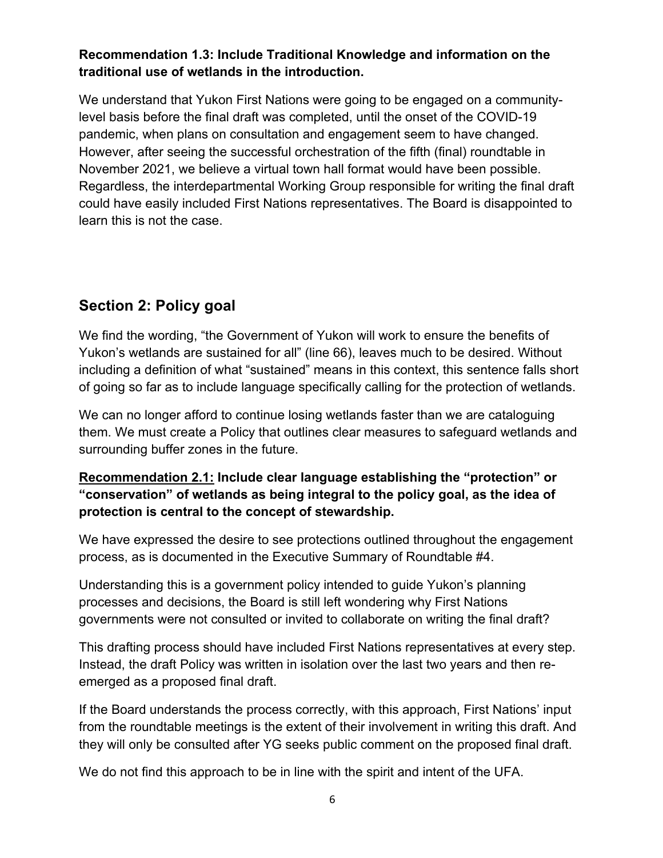#### **Recommendation 1.3: Include Traditional Knowledge and information on the traditional use of wetlands in the introduction.**

We understand that Yukon First Nations were going to be engaged on a communitylevel basis before the final draft was completed, until the onset of the COVID-19 pandemic, when plans on consultation and engagement seem to have changed. However, after seeing the successful orchestration of the fifth (final) roundtable in November 2021, we believe a virtual town hall format would have been possible. Regardless, the interdepartmental Working Group responsible for writing the final draft could have easily included First Nations representatives. The Board is disappointed to learn this is not the case.

# **Section 2: Policy goal**

We find the wording, "the Government of Yukon will work to ensure the benefits of Yukon's wetlands are sustained for all" (line 66), leaves much to be desired. Without including a definition of what "sustained" means in this context, this sentence falls short of going so far as to include language specifically calling for the protection of wetlands.

We can no longer afford to continue losing wetlands faster than we are cataloguing them. We must create a Policy that outlines clear measures to safeguard wetlands and surrounding buffer zones in the future.

#### **Recommendation 2.1: Include clear language establishing the "protection" or "conservation" of wetlands as being integral to the policy goal, as the idea of protection is central to the concept of stewardship.**

We have expressed the desire to see protections outlined throughout the engagement process, as is documented in the Executive Summary of Roundtable #4.

Understanding this is a government policy intended to guide Yukon's planning processes and decisions, the Board is still left wondering why First Nations governments were not consulted or invited to collaborate on writing the final draft?

This drafting process should have included First Nations representatives at every step. Instead, the draft Policy was written in isolation over the last two years and then reemerged as a proposed final draft.

If the Board understands the process correctly, with this approach, First Nations' input from the roundtable meetings is the extent of their involvement in writing this draft. And they will only be consulted after YG seeks public comment on the proposed final draft.

We do not find this approach to be in line with the spirit and intent of the UFA.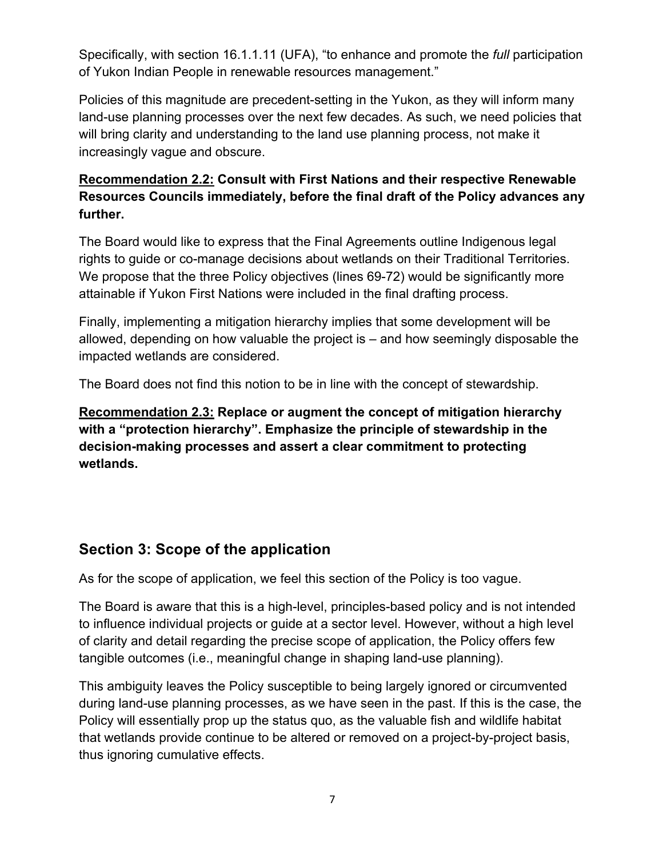Specifically, with section 16.1.1.11 (UFA), "to enhance and promote the *full* participation of Yukon Indian People in renewable resources management."

Policies of this magnitude are precedent-setting in the Yukon, as they will inform many land-use planning processes over the next few decades. As such, we need policies that will bring clarity and understanding to the land use planning process, not make it increasingly vague and obscure.

### **Recommendation 2.2: Consult with First Nations and their respective Renewable Resources Councils immediately, before the final draft of the Policy advances any further.**

The Board would like to express that the Final Agreements outline Indigenous legal rights to guide or co-manage decisions about wetlands on their Traditional Territories. We propose that the three Policy objectives (lines 69-72) would be significantly more attainable if Yukon First Nations were included in the final drafting process.

Finally, implementing a mitigation hierarchy implies that some development will be allowed, depending on how valuable the project is – and how seemingly disposable the impacted wetlands are considered.

The Board does not find this notion to be in line with the concept of stewardship.

**Recommendation 2.3: Replace or augment the concept of mitigation hierarchy with a "protection hierarchy". Emphasize the principle of stewardship in the decision-making processes and assert a clear commitment to protecting wetlands.**

## **Section 3: Scope of the application**

As for the scope of application, we feel this section of the Policy is too vague.

The Board is aware that this is a high-level, principles-based policy and is not intended to influence individual projects or guide at a sector level. However, without a high level of clarity and detail regarding the precise scope of application, the Policy offers few tangible outcomes (i.e., meaningful change in shaping land-use planning).

This ambiguity leaves the Policy susceptible to being largely ignored or circumvented during land-use planning processes, as we have seen in the past. If this is the case, the Policy will essentially prop up the status quo, as the valuable fish and wildlife habitat that wetlands provide continue to be altered or removed on a project-by-project basis, thus ignoring cumulative effects.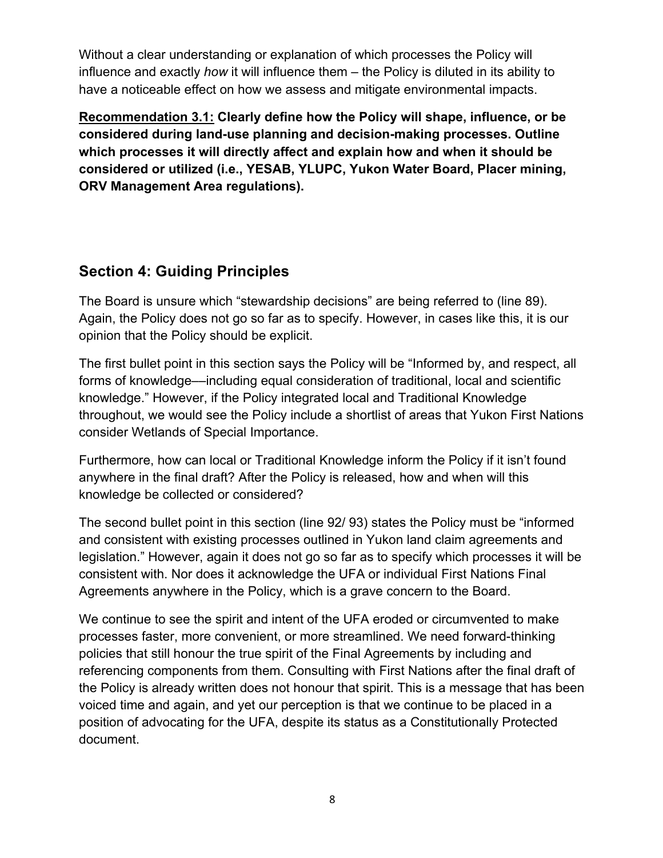Without a clear understanding or explanation of which processes the Policy will influence and exactly *how* it will influence them – the Policy is diluted in its ability to have a noticeable effect on how we assess and mitigate environmental impacts.

**Recommendation 3.1: Clearly define how the Policy will shape, influence, or be considered during land-use planning and decision-making processes. Outline which processes it will directly affect and explain how and when it should be considered or utilized (i.e., YESAB, YLUPC, Yukon Water Board, Placer mining, ORV Management Area regulations).**

## **Section 4: Guiding Principles**

The Board is unsure which "stewardship decisions" are being referred to (line 89). Again, the Policy does not go so far as to specify. However, in cases like this, it is our opinion that the Policy should be explicit.

The first bullet point in this section says the Policy will be "Informed by, and respect, all forms of knowledge––including equal consideration of traditional, local and scientific knowledge." However, if the Policy integrated local and Traditional Knowledge throughout, we would see the Policy include a shortlist of areas that Yukon First Nations consider Wetlands of Special Importance.

Furthermore, how can local or Traditional Knowledge inform the Policy if it isn't found anywhere in the final draft? After the Policy is released, how and when will this knowledge be collected or considered?

The second bullet point in this section (line 92/ 93) states the Policy must be "informed and consistent with existing processes outlined in Yukon land claim agreements and legislation." However, again it does not go so far as to specify which processes it will be consistent with. Nor does it acknowledge the UFA or individual First Nations Final Agreements anywhere in the Policy, which is a grave concern to the Board.

We continue to see the spirit and intent of the UFA eroded or circumvented to make processes faster, more convenient, or more streamlined. We need forward-thinking policies that still honour the true spirit of the Final Agreements by including and referencing components from them. Consulting with First Nations after the final draft of the Policy is already written does not honour that spirit. This is a message that has been voiced time and again, and yet our perception is that we continue to be placed in a position of advocating for the UFA, despite its status as a Constitutionally Protected document.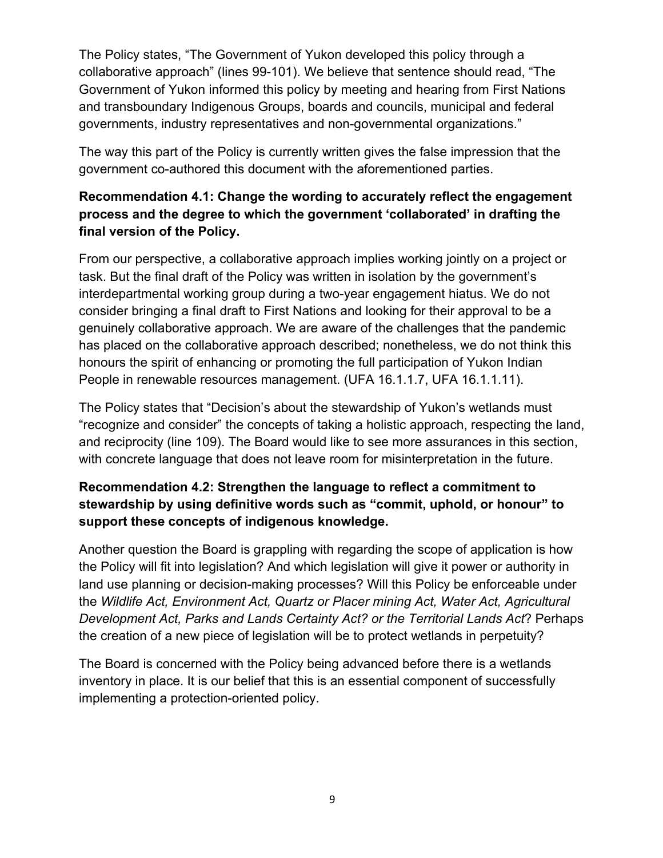The Policy states, "The Government of Yukon developed this policy through a collaborative approach" (lines 99-101). We believe that sentence should read, "The Government of Yukon informed this policy by meeting and hearing from First Nations and transboundary Indigenous Groups, boards and councils, municipal and federal governments, industry representatives and non-governmental organizations."

The way this part of the Policy is currently written gives the false impression that the government co-authored this document with the aforementioned parties.

#### **Recommendation 4.1: Change the wording to accurately reflect the engagement process and the degree to which the government 'collaborated' in drafting the final version of the Policy.**

From our perspective, a collaborative approach implies working jointly on a project or task. But the final draft of the Policy was written in isolation by the government's interdepartmental working group during a two-year engagement hiatus. We do not consider bringing a final draft to First Nations and looking for their approval to be a genuinely collaborative approach. We are aware of the challenges that the pandemic has placed on the collaborative approach described; nonetheless, we do not think this honours the spirit of enhancing or promoting the full participation of Yukon Indian People in renewable resources management. (UFA 16.1.1.7, UFA 16.1.1.11).

The Policy states that "Decision's about the stewardship of Yukon's wetlands must "recognize and consider" the concepts of taking a holistic approach, respecting the land, and reciprocity (line 109). The Board would like to see more assurances in this section, with concrete language that does not leave room for misinterpretation in the future.

### **Recommendation 4.2: Strengthen the language to reflect a commitment to stewardship by using definitive words such as "commit, uphold, or honour" to support these concepts of indigenous knowledge.**

Another question the Board is grappling with regarding the scope of application is how the Policy will fit into legislation? And which legislation will give it power or authority in land use planning or decision-making processes? Will this Policy be enforceable under the *Wildlife Act, Environment Act, Quartz or Placer mining Act, Water Act, Agricultural Development Act, Parks and Lands Certainty Act? or the Territorial Lands Act*? Perhaps the creation of a new piece of legislation will be to protect wetlands in perpetuity?

The Board is concerned with the Policy being advanced before there is a wetlands inventory in place. It is our belief that this is an essential component of successfully implementing a protection-oriented policy.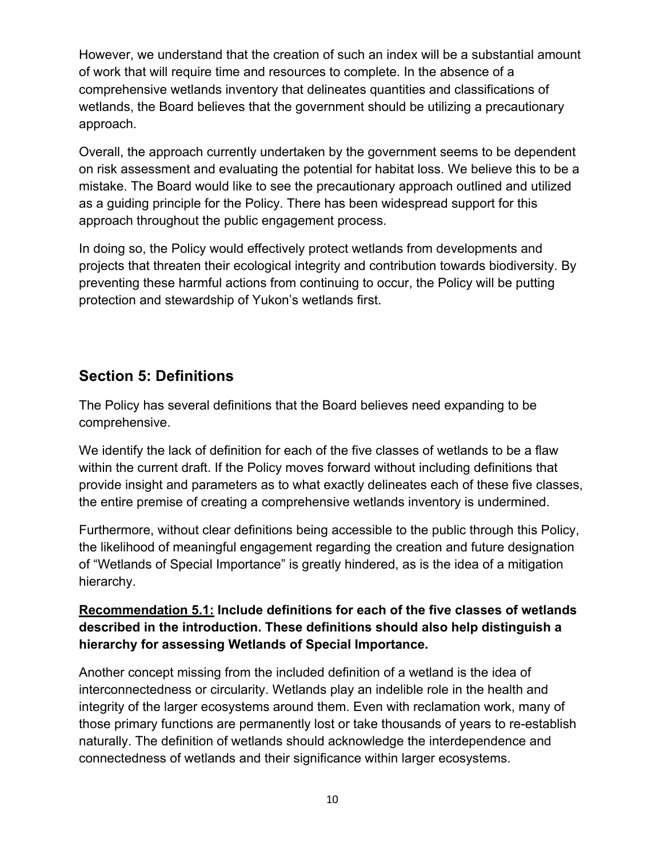However, we understand that the creation of such an index will be a substantial amount of work that will require time and resources to complete. In the absence of a comprehensive wetlands inventory that delineates quantities and classifications of wetlands, the Board believes that the government should be utilizing a precautionary approach.

Overall, the approach currently undertaken by the government seems to be dependent on risk assessment and evaluating the potential for habitat loss. We believe this to be a mistake. The Board would like to see the precautionary approach outlined and utilized as a guiding principle for the Policy. There has been widespread support for this approach throughout the public engagement process.

In doing so, the Policy would effectively protect wetlands from developments and projects that threaten their ecological integrity and contribution towards biodiversity. By preventing these harmful actions from continuing to occur, the Policy will be putting protection and stewardship of Yukon's wetlands first.

### **Section 5: Definitions**

The Policy has several definitions that the Board believes need expanding to be comprehensive.

We identify the lack of definition for each of the five classes of wetlands to be a flaw within the current draft. If the Policy moves forward without including definitions that provide insight and parameters as to what exactly delineates each of these five classes, the entire premise of creating a comprehensive wetlands inventory is undermined.

Furthermore, without clear definitions being accessible to the public through this Policy, the likelihood of meaningful engagement regarding the creation and future designation of "Wetlands of Special Importance" is greatly hindered, as is the idea of a mitigation hierarchy.

#### **Recommendation 5.1: Include definitions for each of the five classes of wetlands described in the introduction. These definitions should also help distinguish a hierarchy for assessing Wetlands of Special Importance.**

Another concept missing from the included definition of a wetland is the idea of interconnectedness or circularity. Wetlands play an indelible role in the health and integrity of the larger ecosystems around them. Even with reclamation work, many of those primary functions are permanently lost or take thousands of years to re-establish naturally. The definition of wetlands should acknowledge the interdependence and connectedness of wetlands and their significance within larger ecosystems.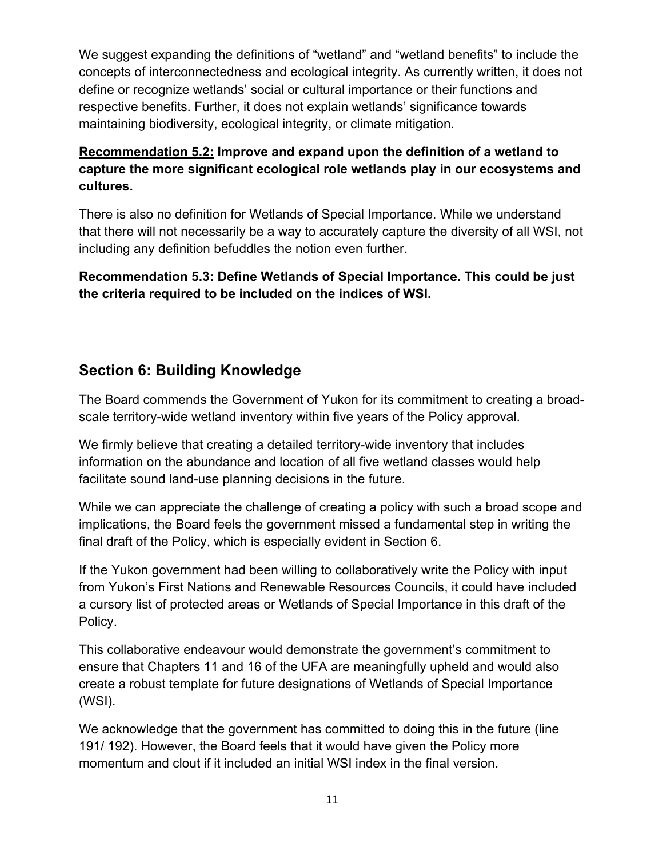We suggest expanding the definitions of "wetland" and "wetland benefits" to include the concepts of interconnectedness and ecological integrity. As currently written, it does not define or recognize wetlands' social or cultural importance or their functions and respective benefits. Further, it does not explain wetlands' significance towards maintaining biodiversity, ecological integrity, or climate mitigation.

### **Recommendation 5.2: Improve and expand upon the definition of a wetland to capture the more significant ecological role wetlands play in our ecosystems and cultures.**

There is also no definition for Wetlands of Special Importance. While we understand that there will not necessarily be a way to accurately capture the diversity of all WSI, not including any definition befuddles the notion even further.

**Recommendation 5.3: Define Wetlands of Special Importance. This could be just the criteria required to be included on the indices of WSI.**

## **Section 6: Building Knowledge**

The Board commends the Government of Yukon for its commitment to creating a broadscale territory-wide wetland inventory within five years of the Policy approval.

We firmly believe that creating a detailed territory-wide inventory that includes information on the abundance and location of all five wetland classes would help facilitate sound land-use planning decisions in the future.

While we can appreciate the challenge of creating a policy with such a broad scope and implications, the Board feels the government missed a fundamental step in writing the final draft of the Policy, which is especially evident in Section 6.

If the Yukon government had been willing to collaboratively write the Policy with input from Yukon's First Nations and Renewable Resources Councils, it could have included a cursory list of protected areas or Wetlands of Special Importance in this draft of the Policy.

This collaborative endeavour would demonstrate the government's commitment to ensure that Chapters 11 and 16 of the UFA are meaningfully upheld and would also create a robust template for future designations of Wetlands of Special Importance (WSI).

We acknowledge that the government has committed to doing this in the future (line 191/ 192). However, the Board feels that it would have given the Policy more momentum and clout if it included an initial WSI index in the final version.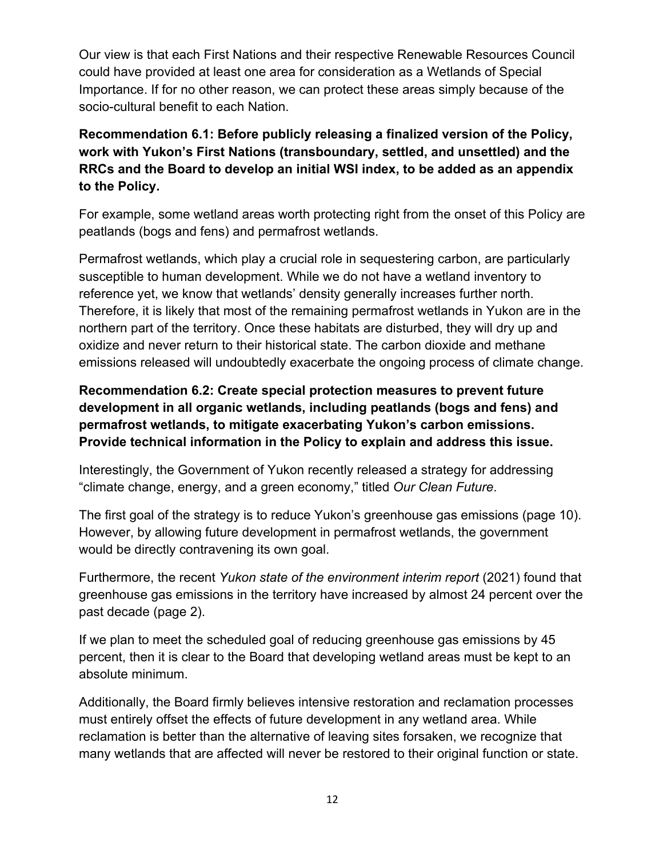Our view is that each First Nations and their respective Renewable Resources Council could have provided at least one area for consideration as a Wetlands of Special Importance. If for no other reason, we can protect these areas simply because of the socio-cultural benefit to each Nation.

### **Recommendation 6.1: Before publicly releasing a finalized version of the Policy, work with Yukon's First Nations (transboundary, settled, and unsettled) and the RRCs and the Board to develop an initial WSI index, to be added as an appendix to the Policy.**

For example, some wetland areas worth protecting right from the onset of this Policy are peatlands (bogs and fens) and permafrost wetlands.

Permafrost wetlands, which play a crucial role in sequestering carbon, are particularly susceptible to human development. While we do not have a wetland inventory to reference yet, we know that wetlands' density generally increases further north. Therefore, it is likely that most of the remaining permafrost wetlands in Yukon are in the northern part of the territory. Once these habitats are disturbed, they will dry up and oxidize and never return to their historical state. The carbon dioxide and methane emissions released will undoubtedly exacerbate the ongoing process of climate change.

#### **Recommendation 6.2: Create special protection measures to prevent future development in all organic wetlands, including peatlands (bogs and fens) and permafrost wetlands, to mitigate exacerbating Yukon's carbon emissions. Provide technical information in the Policy to explain and address this issue.**

Interestingly, the Government of Yukon recently released a strategy for addressing "climate change, energy, and a green economy," titled *Our Clean Future*.

The first goal of the strategy is to reduce Yukon's greenhouse gas emissions (page 10). However, by allowing future development in permafrost wetlands, the government would be directly contravening its own goal.

Furthermore, the recent *Yukon state of the environment interim report* (2021) found that greenhouse gas emissions in the territory have increased by almost 24 percent over the past decade (page 2).

If we plan to meet the scheduled goal of reducing greenhouse gas emissions by 45 percent, then it is clear to the Board that developing wetland areas must be kept to an absolute minimum.

Additionally, the Board firmly believes intensive restoration and reclamation processes must entirely offset the effects of future development in any wetland area. While reclamation is better than the alternative of leaving sites forsaken, we recognize that many wetlands that are affected will never be restored to their original function or state.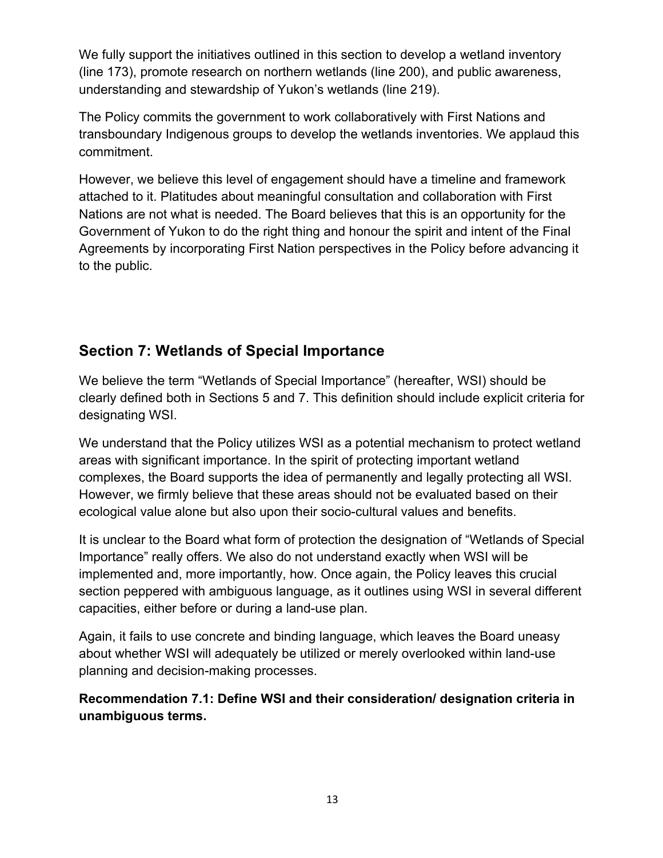We fully support the initiatives outlined in this section to develop a wetland inventory (line 173), promote research on northern wetlands (line 200), and public awareness, understanding and stewardship of Yukon's wetlands (line 219).

The Policy commits the government to work collaboratively with First Nations and transboundary Indigenous groups to develop the wetlands inventories. We applaud this commitment.

However, we believe this level of engagement should have a timeline and framework attached to it. Platitudes about meaningful consultation and collaboration with First Nations are not what is needed. The Board believes that this is an opportunity for the Government of Yukon to do the right thing and honour the spirit and intent of the Final Agreements by incorporating First Nation perspectives in the Policy before advancing it to the public.

## **Section 7: Wetlands of Special Importance**

We believe the term "Wetlands of Special Importance" (hereafter, WSI) should be clearly defined both in Sections 5 and 7. This definition should include explicit criteria for designating WSI.

We understand that the Policy utilizes WSI as a potential mechanism to protect wetland areas with significant importance. In the spirit of protecting important wetland complexes, the Board supports the idea of permanently and legally protecting all WSI. However, we firmly believe that these areas should not be evaluated based on their ecological value alone but also upon their socio-cultural values and benefits.

It is unclear to the Board what form of protection the designation of "Wetlands of Special Importance" really offers. We also do not understand exactly when WSI will be implemented and, more importantly, how. Once again, the Policy leaves this crucial section peppered with ambiguous language, as it outlines using WSI in several different capacities, either before or during a land-use plan.

Again, it fails to use concrete and binding language, which leaves the Board uneasy about whether WSI will adequately be utilized or merely overlooked within land-use planning and decision-making processes.

**Recommendation 7.1: Define WSI and their consideration/ designation criteria in unambiguous terms.**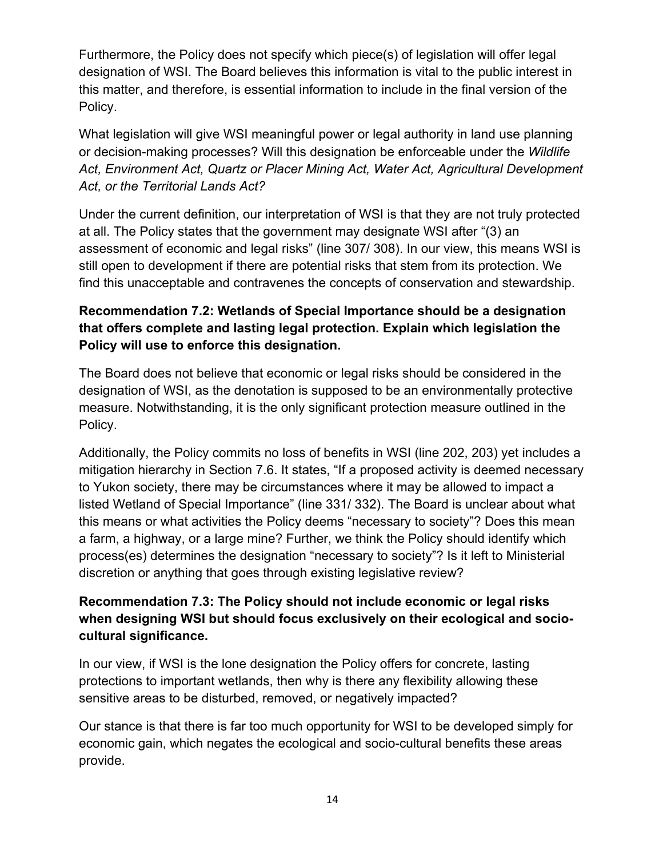Furthermore, the Policy does not specify which piece(s) of legislation will offer legal designation of WSI. The Board believes this information is vital to the public interest in this matter, and therefore, is essential information to include in the final version of the Policy.

What legislation will give WSI meaningful power or legal authority in land use planning or decision-making processes? Will this designation be enforceable under the *Wildlife Act, Environment Act, Quartz or Placer Mining Act, Water Act, Agricultural Development Act, or the Territorial Lands Act?*

Under the current definition, our interpretation of WSI is that they are not truly protected at all. The Policy states that the government may designate WSI after "(3) an assessment of economic and legal risks" (line 307/ 308). In our view, this means WSI is still open to development if there are potential risks that stem from its protection. We find this unacceptable and contravenes the concepts of conservation and stewardship.

### **Recommendation 7.2: Wetlands of Special Importance should be a designation that offers complete and lasting legal protection. Explain which legislation the Policy will use to enforce this designation.**

The Board does not believe that economic or legal risks should be considered in the designation of WSI, as the denotation is supposed to be an environmentally protective measure. Notwithstanding, it is the only significant protection measure outlined in the Policy.

Additionally, the Policy commits no loss of benefits in WSI (line 202, 203) yet includes a mitigation hierarchy in Section 7.6. It states, "If a proposed activity is deemed necessary to Yukon society, there may be circumstances where it may be allowed to impact a listed Wetland of Special Importance" (line 331/ 332). The Board is unclear about what this means or what activities the Policy deems "necessary to society"? Does this mean a farm, a highway, or a large mine? Further, we think the Policy should identify which process(es) determines the designation "necessary to society"? Is it left to Ministerial discretion or anything that goes through existing legislative review?

#### **Recommendation 7.3: The Policy should not include economic or legal risks when designing WSI but should focus exclusively on their ecological and sociocultural significance.**

In our view, if WSI is the lone designation the Policy offers for concrete, lasting protections to important wetlands, then why is there any flexibility allowing these sensitive areas to be disturbed, removed, or negatively impacted?

Our stance is that there is far too much opportunity for WSI to be developed simply for economic gain, which negates the ecological and socio-cultural benefits these areas provide.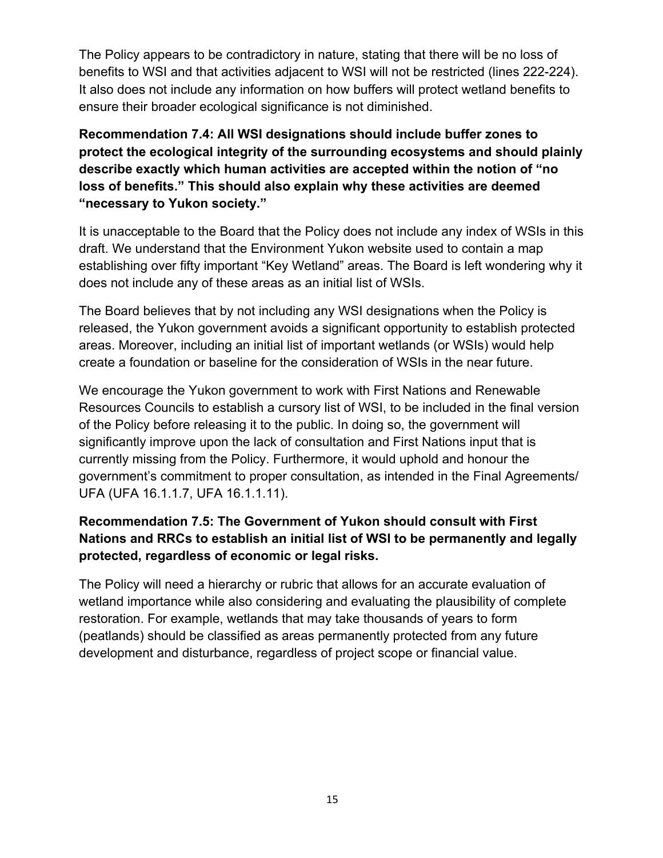The Policy appears to be contradictory in nature, stating that there will be no loss of benefits to WSI and that activities adjacent to WSI will not be restricted (lines 222-224). It also does not include any information on how buffers will protect wetland benefits to ensure their broader ecological significance is not diminished.

**Recommendation 7.4: All WSI designations should include buffer zones to protect the ecological integrity of the surrounding ecosystems and should plainly describe exactly which human activities are accepted within the notion of "no loss of benefits." This should also explain why these activities are deemed "necessary to Yukon society."**

It is unacceptable to the Board that the Policy does not include any index of WSIs in this draft. We understand that the Environment Yukon website used to contain a map establishing over fifty important "Key Wetland" areas. The Board is left wondering why it does not include any of these areas as an initial list of WSIs.

The Board believes that by not including any WSI designations when the Policy is released, the Yukon government avoids a significant opportunity to establish protected areas. Moreover, including an initial list of important wetlands (or WSIs) would help create a foundation or baseline for the consideration of WSIs in the near future.

We encourage the Yukon government to work with First Nations and Renewable Resources Councils to establish a cursory list of WSI, to be included in the final version of the Policy before releasing it to the public. In doing so, the government will significantly improve upon the lack of consultation and First Nations input that is currently missing from the Policy. Furthermore, it would uphold and honour the government's commitment to proper consultation, as intended in the Final Agreements/ UFA (UFA 16.1.1.7, UFA 16.1.1.11).

### **Recommendation 7.5: The Government of Yukon should consult with First Nations and RRCs to establish an initial list of WSI to be permanently and legally protected, regardless of economic or legal risks.**

The Policy will need a hierarchy or rubric that allows for an accurate evaluation of wetland importance while also considering and evaluating the plausibility of complete restoration. For example, wetlands that may take thousands of years to form (peatlands) should be classified as areas permanently protected from any future development and disturbance, regardless of project scope or financial value.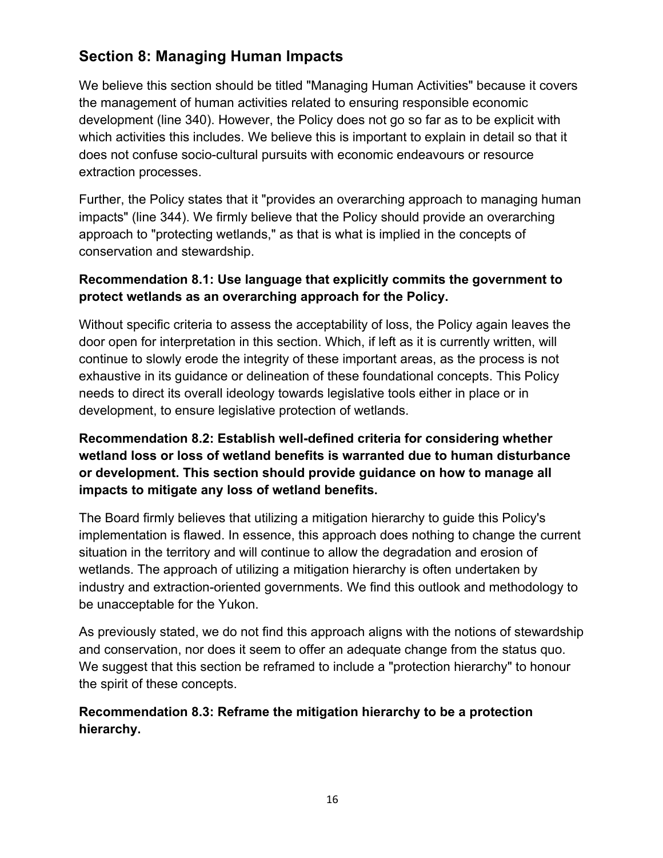# **Section 8: Managing Human Impacts**

We believe this section should be titled "Managing Human Activities" because it covers the management of human activities related to ensuring responsible economic development (line 340). However, the Policy does not go so far as to be explicit with which activities this includes. We believe this is important to explain in detail so that it does not confuse socio-cultural pursuits with economic endeavours or resource extraction processes.

Further, the Policy states that it "provides an overarching approach to managing human impacts" (line 344). We firmly believe that the Policy should provide an overarching approach to "protecting wetlands," as that is what is implied in the concepts of conservation and stewardship.

#### **Recommendation 8.1: Use language that explicitly commits the government to protect wetlands as an overarching approach for the Policy.**

Without specific criteria to assess the acceptability of loss, the Policy again leaves the door open for interpretation in this section. Which, if left as it is currently written, will continue to slowly erode the integrity of these important areas, as the process is not exhaustive in its guidance or delineation of these foundational concepts. This Policy needs to direct its overall ideology towards legislative tools either in place or in development, to ensure legislative protection of wetlands.

### **Recommendation 8.2: Establish well-defined criteria for considering whether wetland loss or loss of wetland benefits is warranted due to human disturbance or development. This section should provide guidance on how to manage all impacts to mitigate any loss of wetland benefits.**

The Board firmly believes that utilizing a mitigation hierarchy to guide this Policy's implementation is flawed. In essence, this approach does nothing to change the current situation in the territory and will continue to allow the degradation and erosion of wetlands. The approach of utilizing a mitigation hierarchy is often undertaken by industry and extraction-oriented governments. We find this outlook and methodology to be unacceptable for the Yukon.

As previously stated, we do not find this approach aligns with the notions of stewardship and conservation, nor does it seem to offer an adequate change from the status quo. We suggest that this section be reframed to include a "protection hierarchy" to honour the spirit of these concepts.

#### **Recommendation 8.3: Reframe the mitigation hierarchy to be a protection hierarchy.**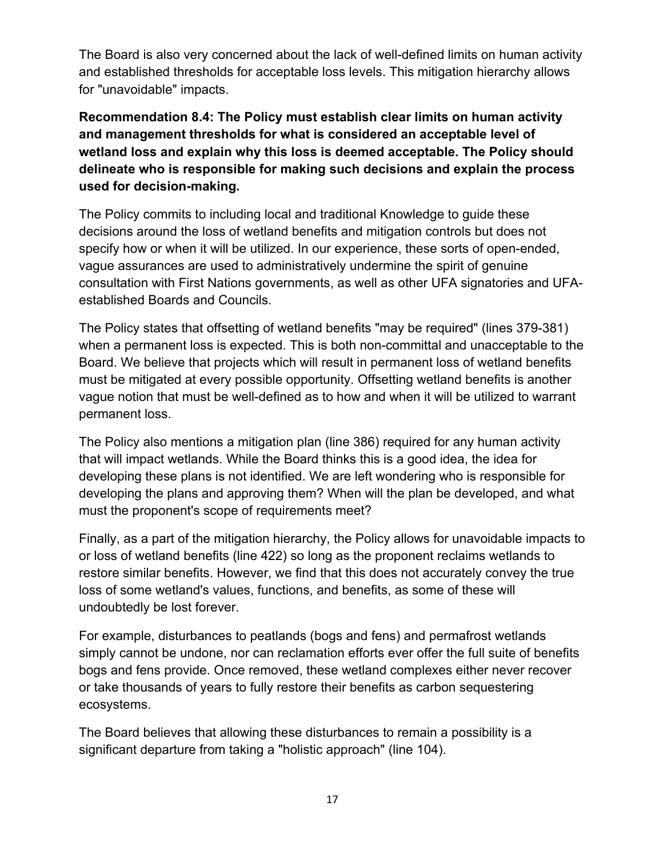The Board is also very concerned about the lack of well-defined limits on human activity and established thresholds for acceptable loss levels. This mitigation hierarchy allows for "unavoidable" impacts.

**Recommendation 8.4: The Policy must establish clear limits on human activity and management thresholds for what is considered an acceptable level of wetland loss and explain why this loss is deemed acceptable. The Policy should delineate who is responsible for making such decisions and explain the process used for decision-making.**

The Policy commits to including local and traditional Knowledge to guide these decisions around the loss of wetland benefits and mitigation controls but does not specify how or when it will be utilized. In our experience, these sorts of open-ended, vague assurances are used to administratively undermine the spirit of genuine consultation with First Nations governments, as well as other UFA signatories and UFAestablished Boards and Councils.

The Policy states that offsetting of wetland benefits "may be required" (lines 379-381) when a permanent loss is expected. This is both non-committal and unacceptable to the Board. We believe that projects which will result in permanent loss of wetland benefits must be mitigated at every possible opportunity. Offsetting wetland benefits is another vague notion that must be well-defined as to how and when it will be utilized to warrant permanent loss.

The Policy also mentions a mitigation plan (line 386) required for any human activity that will impact wetlands. While the Board thinks this is a good idea, the idea for developing these plans is not identified. We are left wondering who is responsible for developing the plans and approving them? When will the plan be developed, and what must the proponent's scope of requirements meet?

Finally, as a part of the mitigation hierarchy, the Policy allows for unavoidable impacts to or loss of wetland benefits (line 422) so long as the proponent reclaims wetlands to restore similar benefits. However, we find that this does not accurately convey the true loss of some wetland's values, functions, and benefits, as some of these will undoubtedly be lost forever.

For example, disturbances to peatlands (bogs and fens) and permafrost wetlands simply cannot be undone, nor can reclamation efforts ever offer the full suite of benefits bogs and fens provide. Once removed, these wetland complexes either never recover or take thousands of years to fully restore their benefits as carbon sequestering ecosystems.

The Board believes that allowing these disturbances to remain a possibility is a significant departure from taking a "holistic approach" (line 104).